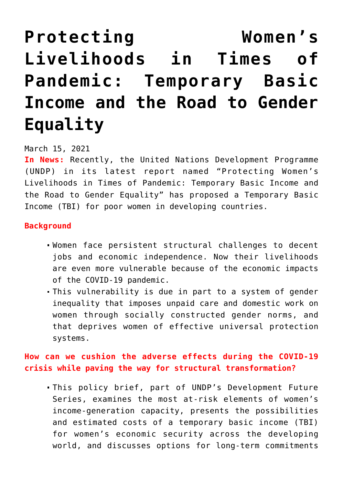# **[Protecting Women's](https://journalsofindia.com/protecting-womens-livelihoods-in-times-of-pandemic-temporary-basic-income-and-the-road-to-gender-equality/) [Livelihoods in Times of](https://journalsofindia.com/protecting-womens-livelihoods-in-times-of-pandemic-temporary-basic-income-and-the-road-to-gender-equality/) [Pandemic: Temporary Basic](https://journalsofindia.com/protecting-womens-livelihoods-in-times-of-pandemic-temporary-basic-income-and-the-road-to-gender-equality/) [Income and the Road to Gender](https://journalsofindia.com/protecting-womens-livelihoods-in-times-of-pandemic-temporary-basic-income-and-the-road-to-gender-equality/) [Equality](https://journalsofindia.com/protecting-womens-livelihoods-in-times-of-pandemic-temporary-basic-income-and-the-road-to-gender-equality/)**

#### March 15, 2021

**In News:** Recently, the United Nations Development Programme (UNDP) in its latest report named "Protecting Women's Livelihoods in Times of Pandemic: Temporary Basic Income and the Road to Gender Equality" has proposed a Temporary Basic Income (TBI) for poor women in developing countries.

### **Background**

- Women face persistent structural challenges to decent jobs and economic independence. Now their livelihoods are even more vulnerable because of the economic impacts of the COVID-19 pandemic.
- This vulnerability is due in part to a system of gender inequality that imposes unpaid care and domestic work on women through socially constructed gender norms, and that deprives women of effective universal protection systems.

# **How can we cushion the adverse effects during the COVID-19 crisis while paving the way for structural transformation?**

This policy brief, part of UNDP's Development Future Series, examines the most at-risk elements of women's income-generation capacity, presents the possibilities and estimated costs of a temporary basic income (TBI) for women's economic security across the developing world, and discusses options for long-term commitments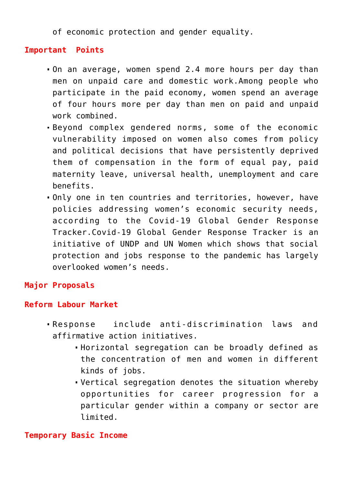of economic protection and gender equality.

## **Important Points**

- On an average, women spend 2.4 more hours per day than men on unpaid care and domestic work.Among people who participate in the paid economy, women spend an average of four hours more per day than men on paid and unpaid work combined.
- Beyond complex gendered norms, some of the economic vulnerability imposed on women also comes from policy and political decisions that have persistently deprived them of compensation in the form of equal pay, paid maternity leave, universal health, unemployment and care benefits.
- Only one in ten countries and territories, however, have policies addressing women's economic security needs, according to the Covid-19 Global Gender Response Tracker.Covid-19 Global Gender Response Tracker is an initiative of UNDP and UN Women which shows that social protection and jobs response to the pandemic has largely overlooked women's needs.

# **Major Proposals**

### **Reform Labour Market**

- Response include anti-discrimination laws and affirmative action initiatives.
	- Horizontal segregation can be broadly defined as the concentration of men and women in different kinds of jobs.
	- Vertical segregation denotes the situation whereby opportunities for career progression for a particular gender within a company or sector are limited.

#### **Temporary Basic Income**